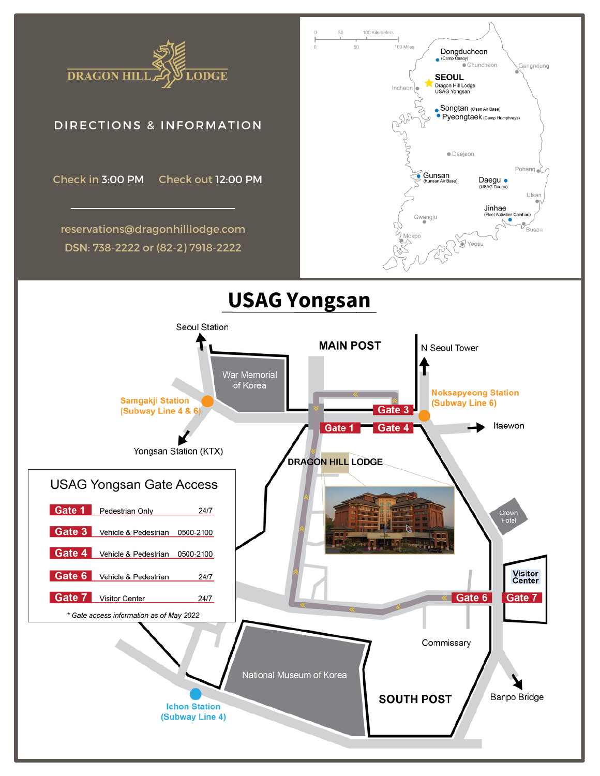